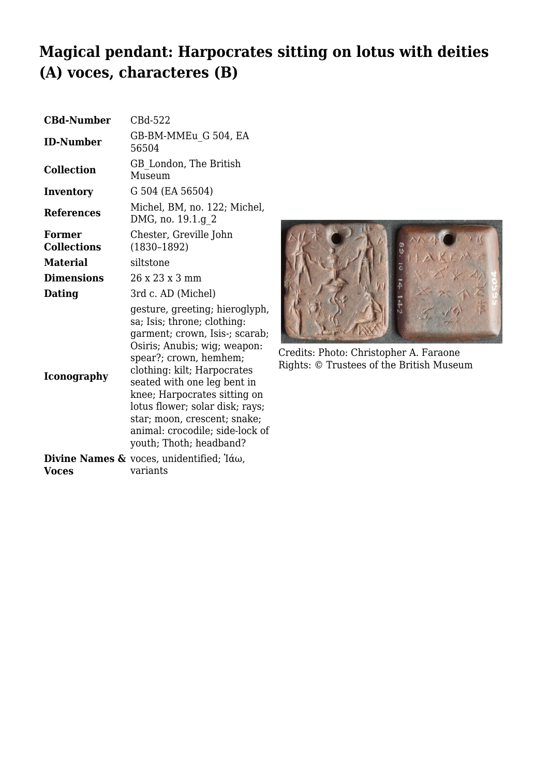## **Magical pendant: Harpocrates sitting on lotus with deities (A) voces, characteres (B)**

| <b>CBd-Number</b>            | CBd-522                                                                                                                                                                                                                                                                                                                                                                                  |
|------------------------------|------------------------------------------------------------------------------------------------------------------------------------------------------------------------------------------------------------------------------------------------------------------------------------------------------------------------------------------------------------------------------------------|
| <b>ID-Number</b>             | GB-BM-MMEu G 504, EA<br>56504                                                                                                                                                                                                                                                                                                                                                            |
| <b>Collection</b>            | GB London, The British<br>Museum                                                                                                                                                                                                                                                                                                                                                         |
| Inventory                    | G 504 (EA 56504)                                                                                                                                                                                                                                                                                                                                                                         |
| <b>References</b>            | Michel, BM, no. 122; Michel,<br>DMG, no. 19.1.g 2                                                                                                                                                                                                                                                                                                                                        |
| Former<br><b>Collections</b> | Chester, Greville John<br>$(1830 - 1892)$                                                                                                                                                                                                                                                                                                                                                |
| <b>Material</b>              | siltstone                                                                                                                                                                                                                                                                                                                                                                                |
| <b>Dimensions</b>            | 26 x 23 x 3 mm                                                                                                                                                                                                                                                                                                                                                                           |
| Dating                       | 3rd c. AD (Michel)                                                                                                                                                                                                                                                                                                                                                                       |
| <b>Iconography</b>           | gesture, greeting; hieroglyph,<br>sa; Isis; throne; clothing:<br>garment; crown, Isis-; scarab;<br>Osiris; Anubis; wig; weapon:<br>spear?; crown, hemhem;<br>clothing: kilt; Harpocrates<br>seated with one leg bent in<br>knee; Harpocrates sitting on<br>lotus flower; solar disk; rays;<br>star; moon, crescent; snake;<br>animal: crocodile; side-lock of<br>youth; Thoth; headband? |
|                              | <b>Divine Names &amp;</b> voces, unidentified; $\hat{a}\omega$ ,                                                                                                                                                                                                                                                                                                                         |
| Voces                        | variants                                                                                                                                                                                                                                                                                                                                                                                 |



Credits: Photo: Christopher A. Faraone Rights: © Trustees of the British Museum